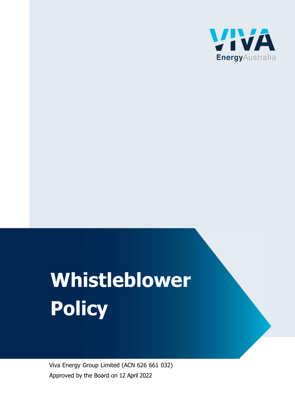

# Whistleblower **Policy**

Viva Energy Group Limited (ACN 626 661 032) Approved by the Board on 12 April 2022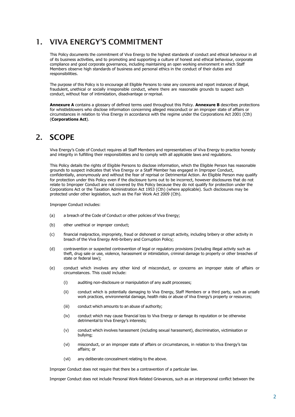# 1. VIVA ENERGY'S COMMITMENT

This Policy documents the commitment of Viva Energy to the highest standards of conduct and ethical behaviour in all of its business activities, and to promoting and supporting a culture of honest and ethical behaviour, corporate compliance and good corporate governance, including maintaining an open working environment in which Staff Members observe high standards of business and personal ethics in the conduct of their duties and responsibilities.

The purpose of this Policy is to encourage all Eligible Persons to raise any concerns and report instances of illegal, fraudulent, unethical or socially irresponsible conduct, where there are reasonable grounds to suspect such conduct, without fear of intimidation, disadvantage or reprisal.

Annexure A contains a glossary of defined terms used throughout this Policy. Annexure B describes protections for whistleblowers who disclose information concerning alleged misconduct or an improper state of affairs or circumstances in relation to Viva Energy in accordance with the regime under the Corporations Act 2001 (Cth) (Corporations Act).

# 2. SCOPE

Viva Energy's Code of Conduct requires all Staff Members and representatives of Viva Energy to practice honesty and integrity in fulfilling their responsibilities and to comply with all applicable laws and regulations.

This Policy details the rights of Eligible Persons to disclose information, which the Eligible Person has reasonable grounds to suspect indicates that Viva Energy or a Staff Member has engaged in Improper Conduct, confidentially, anonymously and without the fear of reprisal or Detrimental Action. An Eligible Person may qualify for protection under this Policy even if the disclosure turns out to be incorrect, however disclosures that do not relate to Improper Conduct are not covered by this Policy because they do not qualify for protection under the Corporations Act or the Taxation Administration Act 1953 (Cth) (where applicable). Such disclosures may be protected under other legislation, such as the Fair Work Act 2009 (Cth).

Improper Conduct includes:

- (a) a breach of the Code of Conduct or other policies of Viva Energy;
- (b) other unethical or improper conduct;
- (c) financial malpractice, impropriety, fraud or dishonest or corrupt activity, including bribery or other activity in breach of the Viva Energy Anti-bribery and Corruption Policy;
- (d) contravention or suspected contravention of legal or regulatory provisions (including illegal activity such as theft, drug sale or use, violence, harassment or intimidation, criminal damage to property or other breaches of state or federal law);
- (e) conduct which involves any other kind of misconduct, or concerns an improper state of affairs or circumstances. This could include:
	- (i) auditing non-disclosure or manipulation of any audit processes;
	- (ii) conduct which is potentially damaging to Viva Energy, Staff Members or a third party, such as unsafe work practices, environmental damage, health risks or abuse of Viva Energy's property or resources;
	- (iii) conduct which amounts to an abuse of authority;
	- (iv) conduct which may cause financial loss to Viva Energy or damage its reputation or be otherwise detrimental to Viva Energy's interests;
	- (v) conduct which involves harassment (including sexual harassment), discrimination, victimisation or bullying;
	- (vi) misconduct, or an improper state of affairs or circumstances, in relation to Viva Energy's tax affairs; or
	- (vii) any deliberate concealment relating to the above.

Improper Conduct does not require that there be a contravention of a particular law.

Improper Conduct does not include Personal Work-Related Grievances, such as an interpersonal conflict between the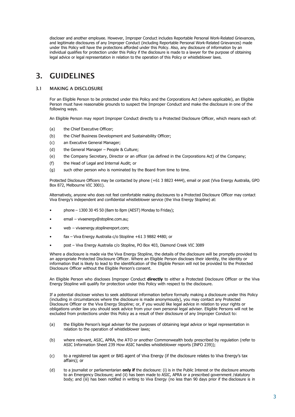discloser and another employee. However, Improper Conduct includes Reportable Personal Work-Related Grievances, and legitimate disclosures of any Improper Conduct (including Reportable Personal Work-Related Grievances) made under this Policy will have the protections afforded under this Policy. Also, any disclosure of information by an individual qualifies for protection under this Policy if the disclosure is made to a lawyer for the purpose of obtaining legal advice or legal representation in relation to the operation of this Policy or whistleblower laws.

# 3. GUIDELINES

#### 3.1 MAKING A DISCLOSURE

For an Eligible Person to be protected under this Policy and the Corporations Act (where applicable), an Eligible Person must have reasonable grounds to suspect the Improper Conduct and make the disclosure in one of the following ways.

An Eligible Person may report Improper Conduct directly to a Protected Disclosure Officer, which means each of:

- (a) the Chief Executive Officer;
- (b) the Chief Business Development and Sustainability Officer;
- (c) an Executive General Manager;
- (d) the General Manager People & Culture;
- (e) the Company Secretary, Director or an officer (as defined in the Corporations Act) of the Company;
- (f) the Head of Legal and Internal Audit; or
- (g) such other person who is nominated by the Board from time to time.

Protected Disclosure Officers may be contacted by phone (+61 3 8823 4444), email or post (Viva Energy Australia, GPO Box 872, Melbourne VIC 3001).

Alternatively, anyone who does not feel comfortable making disclosures to a Protected Disclosure Officer may contact Viva Energy's independent and confidential whistleblower service (the Viva Energy Stopline) at:

- phone  $-$  1300 30 45 50 (8am to 8pm (AEST) Monday to Friday);
- email vivaenergy@stopline.com.au;
- web vivaenergy.stoplinereport.com;
- fax Viva Energy Australia c/o Stopline +61 3 9882 4480; or
- post Viva Energy Australia c/o Stopline, PO Box 403, Diamond Creek VIC 3089

Where a disclosure is made via the Viva Energy Stopline, the details of the disclosure will be promptly provided to an appropriate Protected Disclosure Officer. Where an Eligible Person discloses their identity, the identity or information that is likely to lead to the identification of the Eligible Person will not be provided to the Protected Disclosure Officer without the Eligible Person's consent.

An Eligible Person who discloses Improper Conduct directly to either a Protected Disclosure Officer or the Viva Energy Stopline will qualify for protection under this Policy with respect to the disclosure.

If a potential discloser wishes to seek additional information before formally making a disclosure under this Policy (including in circumstances where the disclosure is made anonymously), you may contact any Protected Disclosure Officer or the Viva Energy Stopline; or, if you would like legal advice in relation to your rights or obligations under law you should seek advice from your own personal legal adviser. Eligible Persons will not be excluded from protections under this Policy as a result of their disclosure of any Improper Conduct to:

- (a) the Eligible Person's legal adviser for the purposes of obtaining legal advice or legal representation in relation to the operation of whistleblower laws;
- (b) where relevant, ASIC, APRA, the ATO or another Commonwealth body prescribed by regulation (refer to ASIC Information Sheet 239 How ASIC handles whistleblower reports (INFO 239));
- (c) to a registered tax agent or BAS agent of Viva Energy (if the disclosure relates to Viva Energy's tax affairs); or
- (d) to a journalist or parliamentarian only if the disclosure: (i) is in the Public Interest or the disclosure amounts to an Emergency Disclosure; and (ii) has been made to ASIC, APRA or a prescribed government / statutory body; and (iii) has been notified in writing to Viva Energy (no less than 90 days prior if the disclosure is in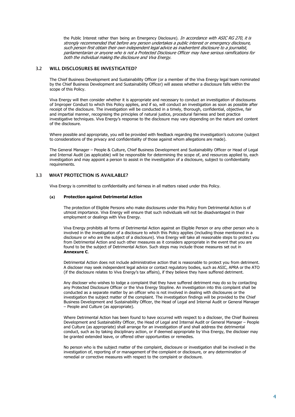the Public Interest rather than being an Emergency Disclosure). In accordance with ASIC RG 270, it is strongly recommended that before any person undertakes a public interest or emergency disclosure, such person first obtain their own independent legal advice as inadvertent disclosure to a journalist, parliamentarian or anyone who is not a Protected Disclosure Officer may have serious ramifications for both the individual making the disclosure and Viva Energy.

#### 3.2 WILL DISCLOSURES BE INVESTIGATED?

The Chief Business Development and Sustainability Officer (or a member of the Viva Energy legal team nominated by the Chief Business Development and Sustainability Officer) will assess whether a disclosure falls within the scope of this Policy.

Viva Energy will then consider whether it is appropriate and necessary to conduct an investigation of disclosures of Improper Conduct to which this Policy applies, and if so, will conduct an investigation as soon as possible after receipt of the disclosure. The investigation will be conducted in a timely, thorough, confidential, objective, fair and impartial manner, recognising the principles of natural justice, procedural fairness and best practice investigative techniques. Viva Energy's response to the disclosure may vary depending on the nature and content of the disclosure.

Where possible and appropriate, you will be provided with feedback regarding the investigation's outcome (subject to considerations of the privacy and confidentiality of those against whom allegations are made).

The General Manager – People & Culture, Chief Business Development and Sustainability Officer or Head of Legal and Internal Audit (as applicable) will be responsible for determining the scope of, and resources applied to, each investigation and may appoint a person to assist in the investigation of a disclosure, subject to confidentiality requirements.

#### 3.3 WHAT PROTECTION IS AVAILABLE?

Viva Energy is committed to confidentiality and fairness in all matters raised under this Policy.

#### (a) Protection against Detrimental Action

The protection of Eligible Persons who make disclosures under this Policy from Detrimental Action is of utmost importance. Viva Energy will ensure that such individuals will not be disadvantaged in their employment or dealings with Viva Energy.

Viva Energy prohibits all forms of Detrimental Action against an Eligible Person or any other person who is involved in the investigation of a disclosure to which this Policy applies (including those mentioned in a disclosure or who are the subject of a disclosure). Viva Energy will take all reasonable steps to protect you from Detrimental Action and such other measures as it considers appropriate in the event that you are found to be the subject of Detrimental Action. Such steps may include those measures set out in Annexure C.

Detrimental Action does not include administrative action that is reasonable to protect you from detriment. A discloser may seek independent legal advice or contact regulatory bodies, such as ASIC, APRA or the ATO (if the disclosure relates to Viva Energy's tax affairs), if they believe they have suffered detriment.

Any discloser who wishes to lodge a complaint that they have suffered detriment may do so by contacting any Protected Disclosure Officer or the Viva Energy Stopline. An investigation into this complaint shall be conducted as a separate matter by an officer who is not involved in dealing with disclosures or the investigation the subject matter of the complaint. The investigation findings will be provided to the Chief Business Development and Sustainability Officer, the Head of Legal and Internal Audit or General Manager – People and Culture (as appropriate).

Where Detrimental Action has been found to have occurred with respect to a discloser, the Chief Business Development and Sustainability Officer, the Head of Legal and Internal Audit or General Manager – People and Culture (as appropriate) shall arrange for an investigation of and shall address the detrimental conduct, such as by taking disciplinary action, or if deemed appropriate by Viva Energy, the discloser may be granted extended leave, or offered other opportunities or remedies.

No person who is the subject matter of the complaint, disclosure or investigation shall be involved in the investigation of, reporting of or management of the complaint or disclosure, or any determination of remedial or corrective measures with respect to the complaint or disclosure.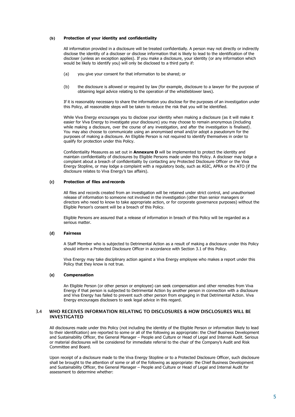#### (b) Protection of your identity and confidentiality

All information provided in a disclosure will be treated confidentially. A person may not directly or indirectly disclose the identity of a discloser or disclose information that is likely to lead to the identification of the discloser (unless an exception applies). If you make a disclosure, your identity (or any information which would be likely to identify you) will only be disclosed to a third party if:

- (a) you give your consent for that information to be shared; or
- (b) the disclosure is allowed or required by law (for example, disclosure to a lawyer for the purpose of obtaining legal advice relating to the operation of the whistleblower laws).

If it is reasonably necessary to share the information you disclose for the purposes of an investigation under this Policy, all reasonable steps will be taken to reduce the risk that you will be identified.

While Viva Energy encourages you to disclose your identity when making a disclosure (as it will make it easier for Viva Energy to investigate your disclosure) you may choose to remain anonymous (including while making a disclosure, over the course of any investigation, and after the investigation is finalised). You may also choose to communicate using an anonymised email and/or adopt a pseudonym for the purposes of making a disclosure. An Eligible Person is not required to identify themselves in order to qualify for protection under this Policy.

Confidentiality Measures as set out in Annexure D will be implemented to protect the identity and maintain confidentiality of disclosures by Eligible Persons made under this Policy. A discloser may lodge a complaint about a breach of confidentiality by contacting any Protected Disclosure Officer or the Viva Energy Stopline, or may lodge a complaint with a regulatory body, such as ASIC, APRA or the ATO (if the disclosure relates to Viva Energy's tax affairs).

#### (c) Protection of files and records

All files and records created from an investigation will be retained under strict control, and unauthorised release of information to someone not involved in the investigation (other than senior managers or directors who need to know to take appropriate action, or for corporate governance purposes) without the Eligible Person's consent will be a breach of this Policy.

Eligible Persons are assured that a release of information in breach of this Policy will be regarded as a serious matter.

#### (d) Fairness

A Staff Member who is subjected to Detrimental Action as a result of making a disclosure under this Policy should inform a Protected Disclosure Officer in accordance with Section 3.1 of this Policy.

Viva Energy may take disciplinary action against a Viva Energy employee who makes a report under this Policy that they know is not true.

#### (e) Compensation

An Eligible Person (or other person or employee) can seek compensation and other remedies from Viva Energy if that person is subjected to Detrimental Action by another person in connection with a disclosure and Viva Energy has failed to prevent such other person from engaging in that Detrimental Action. Viva Energy encourages disclosers to seek legal advice in this regard.

#### 3.4 WHO RECEIVES INFORMATION RELATING TO DISCLOSURES & HOW DISCLOSURES WILL BE INVESTIGATED

All disclosures made under this Policy (not including the identity of the Eligible Person or information likely to lead to their identification) are reported to some or all of the following as appropriate: the Chief Business Development and Sustainability Officer, the General Manager – People and Culture or Head of Legal and Internal Audit. Serious or material disclosures will be considered for immediate referral to the chair of the Company's Audit and Risk Committee and Board.

Upon receipt of a disclosure made to the Viva Energy Stopline or to a Protected Disclosure Officer, such disclosure shall be brought to the attention of some or all of the following as appropriate: the Chief Business Development and Sustainability Officer, the General Manager – People and Culture or Head of Legal and Internal Audit for assessment to determine whether: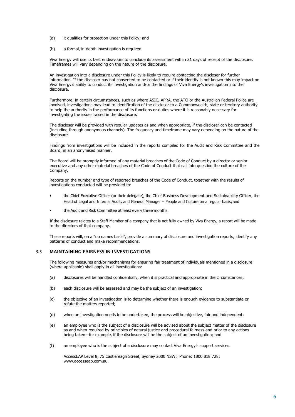- (a) it qualifies for protection under this Policy; and
- (b) a formal, in-depth investigation is required.

Viva Energy will use its best endeavours to conclude its assessment within 21 days of receipt of the disclosure. Timeframes will vary depending on the nature of the disclosure.

An investigation into a disclosure under this Policy is likely to require contacting the discloser for further information. If the discloser has not consented to be contacted or if their identity is not known this may impact on Viva Energy's ability to conduct its investigation and/or the findings of Viva Energy's investigation into the disclosure.

Furthermore, in certain circumstances, such as where ASIC, APRA, the ATO or the Australian Federal Police are involved, investigations may lead to identification of the discloser to a Commonwealth, state or territory authority to help the authority in the performance of its functions or duties where it is reasonably necessary for investigating the issues raised in the disclosure.

The discloser will be provided with regular updates as and when appropriate, if the discloser can be contacted (including through anonymous channels). The frequency and timeframe may vary depending on the nature of the disclosure.

Findings from investigations will be included in the reports compiled for the Audit and Risk Committee and the Board, in an anonymised manner.

The Board will be promptly informed of any material breaches of the Code of Conduct by a director or senior executive and any other material breaches of the Code of Conduct that call into question the culture of the Company.

Reports on the number and type of reported breaches of the Code of Conduct, together with the results of investigations conducted will be provided to:

- the Chief Executive Officer (or their delegate), the Chief Business Development and Sustainability Officer, the Head of Legal and Internal Audit, and General Manager – People and Culture on a regular basis; and
- the Audit and Risk Committee at least every three months.

If the disclosure relates to a Staff Member of a company that is not fully owned by Viva Energy, a report will be made to the directors of that company.

These reports will, on a "no names basis", provide a summary of disclosure and investigation reports, identify any patterns of conduct and make recommendations.

#### 3.5 MAINTAINING FAIRNESS IN INVESTIGATIONS

The following measures and/or mechanisms for ensuring fair treatment of individuals mentioned in a disclosure (where applicable) shall apply in all investigations:

- (a) disclosures will be handled confidentially, when it is practical and appropriate in the circumstances;
- (b) each disclosure will be assessed and may be the subject of an investigation;
- (c) the objective of an investigation is to determine whether there is enough evidence to substantiate or refute the matters reported;
- (d) when an investigation needs to be undertaken, the process will be objective, fair and independent;
- (e) an employee who is the subject of a disclosure will be advised about the subject matter of the disclosure as and when required by principles of natural justice and procedural fairness and prior to any actions being taken—for example, if the disclosure will be the subject of an investigation; and
- (f) an employee who is the subject of a disclosure may contact Viva Energy's support services:

AccessEAP Level 8, 75 Castlereagh Street, Sydney 2000 NSW; Phone: 1800 818 728; www.accesseap.com.au.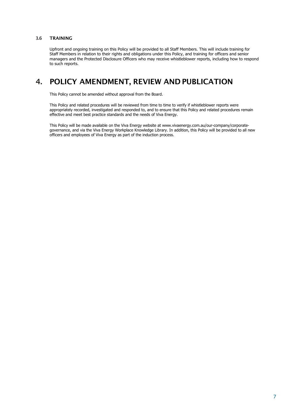#### 3.6 TRAINING

Upfront and ongoing training on this Policy will be provided to all Staff Members. This will include training for Staff Members in relation to their rights and obligations under this Policy, and training for officers and senior managers and the Protected Disclosure Officers who may receive whistleblower reports, including how to respond to such reports.

## 4. POLICY AMENDMENT, REVIEW AND PUBLICATION

This Policy cannot be amended without approval from the Board.

This Policy and related procedures will be reviewed from time to time to verify if whistleblower reports were appropriately recorded, investigated and responded to, and to ensure that this Policy and related procedures remain effective and meet best practice standards and the needs of Viva Energy.

This Policy will be made available on the Viva Energy website at www.vivaenergy.com.au/our-company/corporategovernance, and via the Viva Energy Workplace Knowledge Library. In addition, this Policy will be provided to all new officers and employees of Viva Energy as part of the induction process.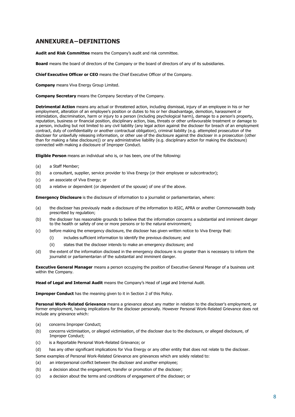### ANNEXURE A – DEFINITIONS

Audit and Risk Committee means the Company's audit and risk committee.

**Board** means the board of directors of the Company or the board of directors of any of its subsidiaries.

Chief Executive Officer or CEO means the Chief Executive Officer of the Company.

Company means Viva Energy Group Limited.

Company Secretary means the Company Secretary of the Company.

Detrimental Action means any actual or threatened action, including dismissal, injury of an employee in his or her employment, alteration of an employee's position or duties to his or her disadvantage, demotion, harassment or intimidation, discrimination, harm or injury to a person (including psychological harm), damage to a person's property, reputation, business or financial position, disciplinary action, bias, threats or other unfavourable treatment or damage to a person, including but not limited to any civil liability (any legal action against the discloser for breach of an employment contract, duty of confidentiality or another contractual obligation), criminal liability (e.g. attempted prosecution of the discloser for unlawfully releasing information, or other use of the disclosure against the discloser in a prosecution (other than for making a false disclosure)) or any administrative liability (e.g. disciplinary action for making the disclosure) connected with making a disclosure of Improper Conduct.

Eligible Person means an individual who is, or has been, one of the following:

- (a) a Staff Member;
- (b) a consultant, supplier, service provider to Viva Energy (or their employee or subcontractor);
- (c) an associate of Viva Energy; or
- (d) a relative or dependent (or dependent of the spouse) of one of the above.

Emergency Disclosure is the disclosure of information to a journalist or parliamentarian, where:

- (a) the discloser has previously made a disclosure of the information to ASIC, APRA or another Commonwealth body prescribed by regulation;
- (b) the discloser has reasonable grounds to believe that the information concerns a substantial and imminent danger to the health or safety of one or more persons or to the natural environment;
- (c) before making the emergency disclosure, the discloser has given written notice to Viva Energy that:
	- (i) includes sufficient information to identify the previous disclosure; and
	- (ii) states that the discloser intends to make an emergency disclosure; and
- (d) the extent of the information disclosed in the emergency disclosure is no greater than is necessary to inform the journalist or parliamentarian of the substantial and imminent danger.

Executive General Manager means a person occupying the position of Executive General Manager of a business unit within the Company.

Head of Legal and Internal Audit means the Company's Head of Legal and Internal Audit.

**Improper Conduct** has the meaning given to it in Section 2 of this Policy.

Personal Work-Related Grievance means a grievance about any matter in relation to the discloser's employment, or former employment, having implications for the discloser personally. However Personal Work-Related Grievance does not include any grievance which:

- (a) concerns Improper Conduct;
- (b) concerns victimisation, or alleged victimisation, of the discloser due to the disclosure, or alleged disclosure, of Improper Conduct;
- (c) is a Reportable Personal Work-Related Grievance; or
- (d) has any other significant implications for Viva Energy or any other entity that does not relate to the discloser.
- Some examples of Personal Work-Related Grievance are grievances which are solely related to:
- (a) an interpersonal conflict between the discloser and another employee;
- (b) a decision about the engagement, transfer or promotion of the discloser;
- (c) a decision about the terms and conditions of engagement of the discloser; or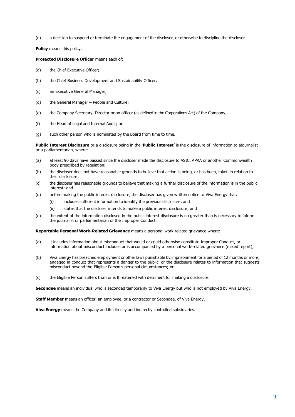(d) a decision to suspend or terminate the engagement of the discloser, or otherwise to discipline the discloser.

Policy means this policy.

#### Protected Disclosure Officer means each of:

- (a) the Chief Executive Officer;
- (b) the Chief Business Development and Sustainability Officer;
- (c) an Executive General Manager;
- (d) the General Manager People and Culture;
- (e) the Company Secretary, Director or an officer (as defined in the Corporations Act) of the Company;
- (f) the Head of Legal and Internal Audit; or
- (g) such other person who is nominated by the Board from time to time.

Public Interest Disclosure or a disclosure being in the 'Public Interest' is the disclosure of information to ajournalist or a parliamentarian, where:

- (a) at least 90 days have passed since the discloser made the disclosure to ASIC, APRA or another Commonwealth body prescribed by regulation;
- (b) the discloser does not have reasonable grounds to believe that action is being, or has been, taken in relation to their disclosure;
- (c) the discloser has reasonable grounds to believe that making a further disclosure of the information is in the public interest; and
- (d) before making the public interest disclosure, the discloser has given written notice to Viva Energy that:
	- (i) includes sufficient information to identify the previous disclosure; and
	- (ii) states that the discloser intends to make a public interest disclosure; and
- (e) the extent of the information disclosed in the public interest disclosure is no greater than is necessary to inform the journalist or parliamentarian of the Improper Conduct.

Reportable Personal Work-Related Grievance means a personal work-related grievance where:

- (a) it includes information about misconduct that would or could otherwise constitute Improper Conduct, or information about misconduct includes or is accompanied by a personal work-related grievance (mixed report);
- (b) Viva Energy has breached employment or other laws punishable by imprisonment for a period of 12 months or more, engaged in conduct that represents a danger to the public, or the disclosure relates to information that suggests misconduct beyond the Eligible Person's personal circumstances; or
- (c) the Eligible Person suffers from or is threatened with detriment for making a disclosure.

Secondee means an individual who is seconded temporarily to Viva Energy but who is not employed by Viva Energy.

Staff Member means an officer, an employee, or a contractor or Secondee, of Viva Energy.

Viva Energy means the Company and its directly and indirectly controlled subsidiaries.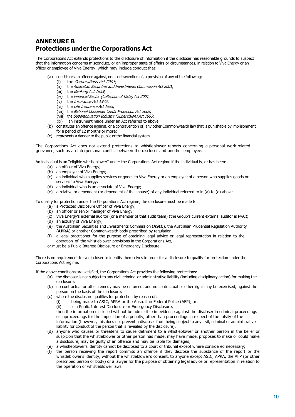## ANNEXURE B Protections under the Corporations Act

The Corporations Act extends protections to the disclosure of information if the discloser has reasonable grounds to suspect that the information concerns misconduct, or an improper state of affairs or circumstances, in relation to Viva Energy or an officer or employee of Viva Energy, which may include conduct that:

- (a) constitutes an offence against, or a contravention of, a provision of any of the following:
	- (i) the Corporations Act 2001;
	- (ii) the Australian Securities and Investments Commission Act 2001;
	- (iii) the *Banking Act 1959*;
	- (iv) the Financial Sector (Collection of Data) Act 2001;
	- (v) the Insurance Act 1973;
	- (vi) the Life Insurance Act 1995;
	- (vii) the National Consumer Credit Protection Act 2009;
	- (viii) the Superannuation Industry (Supervision) Act 1993;
	- $(ix)$  an instrument made under an Act referred to above;
- (b) constitutes an offence against, or a contravention of, any other Commonwealth law that is punishable by imprisonment for a period of 12 months or more;
- (c) represents a danger to the public or the financial system.

The Corporations Act does not extend protections to whistleblower reports concerning a personal work-related grievance, such as an interpersonal conflict between the discloser and another employee.

An individual is an "eligible whistleblower" under the Corporations Act regime if the individual is, or has been:

- (a) an officer of Viva Energy;
- (b) an employee of Viva Energy;
- (c) an individual who supplies services or goods to Viva Energy or an employee of a person who supplies goods or services to Viva Energy;
- (d) an individual who is an associate of Viva Energy;
- (e) a relative or dependent (or dependent of the spouse) of any individual referred to in (a) to (d) above.

To qualify for protection under the Corporations Act regime, the disclosure must be made to:

- (a) a Protected Disclosure Officer of Viva Energy;
- (b) an officer or senior manager of Viva Energy;
- (c) Viva Energy's external auditor (or a member of that audit team) (the Group's current external auditor is PwC);
- (d) an actuary of Viva Energy;
- (e) the Australian Securities and Investments Commission (ASIC), the Australian Prudential Regulation Authority (APRA) or another Commonwealth body prescribed by regulation;
- (f) a legal practitioner for the purpose of obtaining legal advice or legal representation in relation to the operation of the whistleblower provisions in the Corporations Act,
- or must be a Public Interest Disclosure or Emergency Disclosure.

There is no requirement for a discloser to identify themselves in order for a disclosure to qualify for protection under the Corporations Act regime.

If the above conditions are satisfied, the Corporations Act provides the following protections:

- (a) the discloser is not subject to any civil, criminal or administrative liability (including disciplinary action) for making the disclosure;
- (b) no contractual or other remedy may be enforced, and no contractual or other right may be exercised, against the person on the basis of the disclosure;
- (c) where the disclosure qualifies for protection by reason of:
	- (i) being made to ASIC, APRA or the Australian Federal Police (AFP); or
	- (ii) is a Public Interest Disclosure or Emergency Disclosure,

then the information disclosed will not be admissible in evidence against the discloser in criminal proceedings or in proceedings for the imposition of a penalty, other than proceedings in respect of the falsity of the information (however, this does not prevent a discloser from being subject to any civil, criminal or administrative liability for conduct of the person that is revealed by the disclosure).

- (d) anyone who causes or threatens to cause detriment to a whistleblower or another person in the belief or suspicion that the whistleblower or other person has made, may have made, proposes to make or could make a disclosure, may be guilty of an offence and may be liable for damages;
- (e) a whistleblower's identity cannot be disclosed to a court or tribunal except where considered necessary;
- (f) the person receiving the report commits an offence if they disclose the substance of the report or the whistleblower's identity, without the whistleblower's consent, to anyone except ASIC, APRA, the AFP (or other prescribed person or body) or a lawyer for the purpose of obtaining legal advice or representation in relation to the operation of whistleblower laws.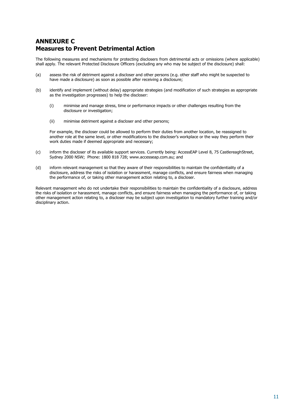## ANNEXURE C Measures to Prevent Detrimental Action

The following measures and mechanisms for protecting disclosers from detrimental acts or omissions (where applicable) shall apply. The relevant Protected Disclosure Officers (excluding any who may be subject of the disclosure) shall:

- (a) assess the risk of detriment against a discloser and other persons (e.g. other staff who might be suspected to have made a disclosure) as soon as possible after receiving a disclosure;
- (b) identify and implement (without delay) appropriate strategies (and modification of such strategies as appropriate as the investigation progresses) to help the discloser:
	- (i) minimise and manage stress, time or performance impacts or other challenges resulting from the disclosure or investigation;
	- (ii) minimise detriment against a discloser and other persons;

For example, the discloser could be allowed to perform their duties from another location, be reassigned to another role at the same level, or other modifications to the discloser's workplace or the way they perform their work duties made if deemed appropriate and necessary;

- (c) inform the discloser of its available support services. Currently being: AccessEAP Level 8, 75 Castlereagh Street, Sydney 2000 NSW; Phone: 1800 818 728; www.accesseap.com.au; and
- (d) inform relevant management so that they aware of their responsibilities to maintain the confidentiality of a disclosure, address the risks of isolation or harassment, manage conflicts, and ensure fairness when managing the performance of, or taking other management action relating to, a discloser.

Relevant management who do not undertake their responsibilities to maintain the confidentiality of a disclosure, address the risks of isolation or harassment, manage conflicts, and ensure fairness when managing the performance of, or taking other management action relating to, a discloser may be subject upon investigation to mandatory further training and/or disciplinary action.